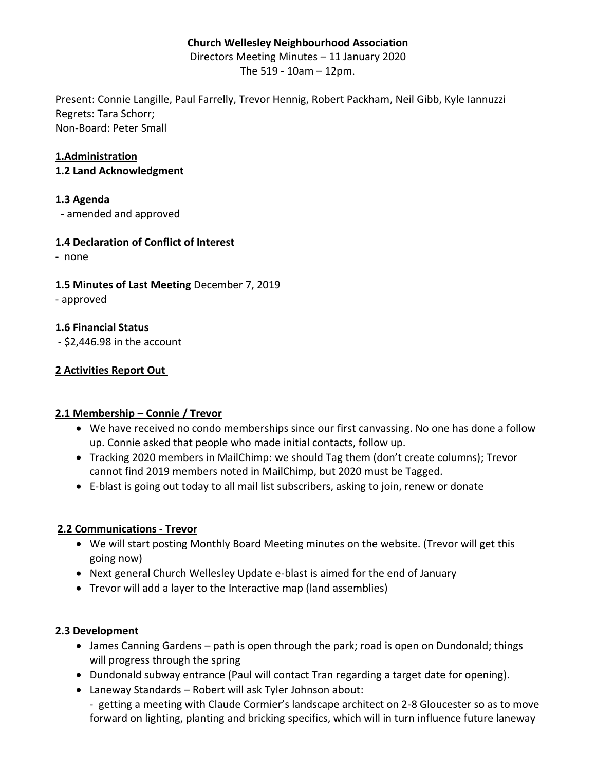## **Church Wellesley Neighbourhood Association**

Directors Meeting Minutes – 11 January 2020

The 519 - 10am – 12pm.

Present: Connie Langille, Paul Farrelly, Trevor Hennig, Robert Packham, Neil Gibb, Kyle Iannuzzi Regrets: Tara Schorr; Non-Board: Peter Small

## **1.Administration**

**1.2 Land Acknowledgment** 

#### **1.3 Agenda**

- amended and approved

### **1.4 Declaration of Conflict of Interest**

- none

### **1.5 Minutes of Last Meeting** December 7, 2019

- approved

### **1.6 Financial Status**

- \$2,446.98 in the account

### **2 Activities Report Out**

#### **2.1 Membership – Connie / Trevor**

- We have received no condo memberships since our first canvassing. No one has done a follow up. Connie asked that people who made initial contacts, follow up.
- Tracking 2020 members in MailChimp: we should Tag them (don't create columns); Trevor cannot find 2019 members noted in MailChimp, but 2020 must be Tagged.
- E-blast is going out today to all mail list subscribers, asking to join, renew or donate

#### **2.2 Communications - Trevor**

- We will start posting Monthly Board Meeting minutes on the website. (Trevor will get this going now)
- Next general Church Wellesley Update e-blast is aimed for the end of January
- Trevor will add a layer to the Interactive map (land assemblies)

#### **2.3 Development**

- James Canning Gardens path is open through the park; road is open on Dundonald; things will progress through the spring
- Dundonald subway entrance (Paul will contact Tran regarding a target date for opening).
- Laneway Standards Robert will ask Tyler Johnson about:
	- getting a meeting with Claude Cormier's landscape architect on 2-8 Gloucester so as to move forward on lighting, planting and bricking specifics, which will in turn influence future laneway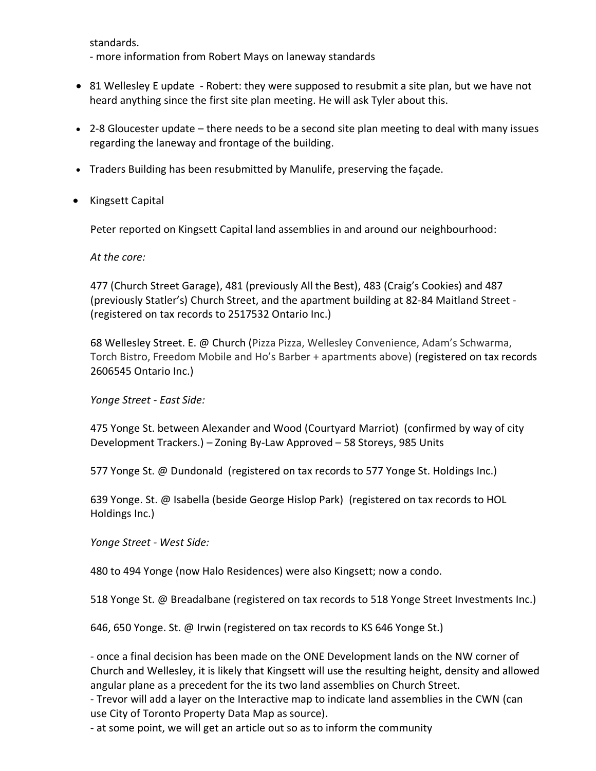standards.

- more information from Robert Mays on laneway standards

- 81 Wellesley E update Robert: they were supposed to resubmit a site plan, but we have not heard anything since the first site plan meeting. He will ask Tyler about this.
- 2-8 Gloucester update there needs to be a second site plan meeting to deal with many issues regarding the laneway and frontage of the building.
- Traders Building has been resubmitted by Manulife, preserving the façade.
- Kingsett Capital

Peter reported on Kingsett Capital land assemblies in and around our neighbourhood:

*At the core:*

477 (Church Street Garage), 481 (previously All the Best), 483 (Craig's Cookies) and 487 (previously Statler's) Church Street, and the apartment building at 82-84 Maitland Street - (registered on tax records to 2517532 Ontario Inc.)

68 Wellesley Street. E. @ Church (Pizza Pizza, Wellesley Convenience, Adam's Schwarma, Torch Bistro, Freedom Mobile and Ho's Barber + apartments above) (registered on tax records 2606545 Ontario Inc.)

*Yonge Street - East Side:*

475 Yonge St. between Alexander and Wood (Courtyard Marriot) (confirmed by way of city Development Trackers.) – Zoning By-Law Approved – 58 Storeys, 985 Units

577 Yonge St. @ Dundonald (registered on tax records to 577 Yonge St. Holdings Inc.)

639 Yonge. St. @ Isabella (beside George Hislop Park) (registered on tax records to HOL Holdings Inc.)

*Yonge Street - West Side:*

480 to 494 Yonge (now Halo Residences) were also Kingsett; now a condo.

518 Yonge St. @ Breadalbane (registered on tax records to 518 Yonge Street Investments Inc.)

646, 650 Yonge. St. @ Irwin (registered on tax records to KS 646 Yonge St.)

- once a final decision has been made on the ONE Development lands on the NW corner of Church and Wellesley, it is likely that Kingsett will use the resulting height, density and allowed angular plane as a precedent for the its two land assemblies on Church Street.

- Trevor will add a layer on the Interactive map to indicate land assemblies in the CWN (can use City of Toronto Property Data Map as source).

- at some point, we will get an article out so as to inform the community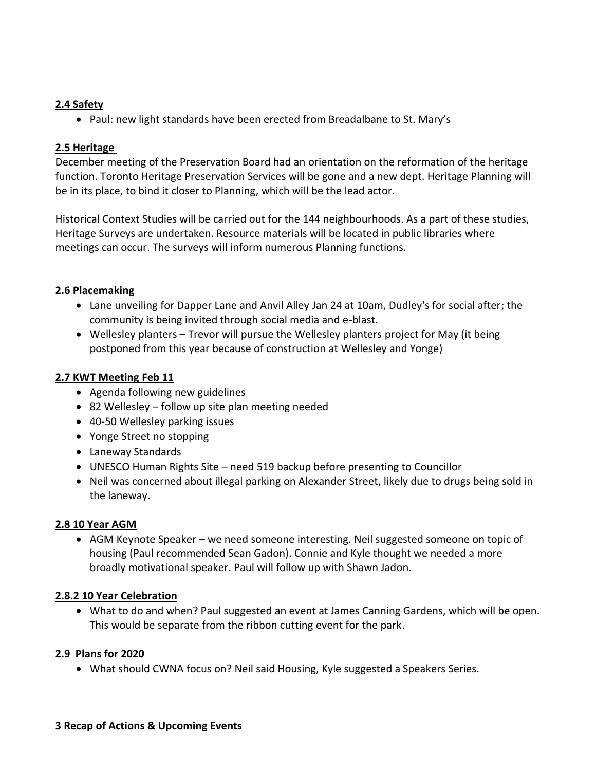## **2.4 Safety**

• Paul: new light standards have been erected from Breadalbane to St. Mary's

## **2.5 Heritage**

December meeting of the Preservation Board had an orientation on the reformation of the heritage function. Toronto Heritage Preservation Services will be gone and a new dept. Heritage Planning will be in its place, to bind it closer to Planning, which will be the lead actor.

Historical Context Studies will be carried out for the 144 neighbourhoods. As a part of these studies, Heritage Surveys are undertaken. Resource materials will be located in public libraries where meetings can occur. The surveys will inform numerous Planning functions.

## **2.6 Placemaking**

- Lane unveiling for Dapper Lane and Anvil Alley Jan 24 at 10am, Dudley's for social after; the community is being invited through social media and e-blast.
- Wellesley planters Trevor will pursue the Wellesley planters project for May (it being postponed from this year because of construction at Wellesley and Yonge)

## **2.7 KWT Meeting Feb 11**

- Agenda following new guidelines
- 82 Wellesley follow up site plan meeting needed
- 40-50 Wellesley parking issues
- Yonge Street no stopping
- Laneway Standards
- UNESCO Human Rights Site need 519 backup before presenting to Councillor
- Neil was concerned about illegal parking on Alexander Street, likely due to drugs being sold in the laneway.

## **2.8 10 Year AGM**

• AGM Keynote Speaker – we need someone interesting. Neil suggested someone on topic of housing (Paul recommended Sean Gadon). Connie and Kyle thought we needed a more broadly motivational speaker. Paul will follow up with Shawn Jadon.

## **2.8.2 10 Year Celebration**

• What to do and when? Paul suggested an event at James Canning Gardens, which will be open. This would be separate from the ribbon cutting event for the park.

# **2.9 Plans for 2020**

• What should CWNA focus on? Neil said Housing, Kyle suggested a Speakers Series.

## **3 Recap of Actions & Upcoming Events**